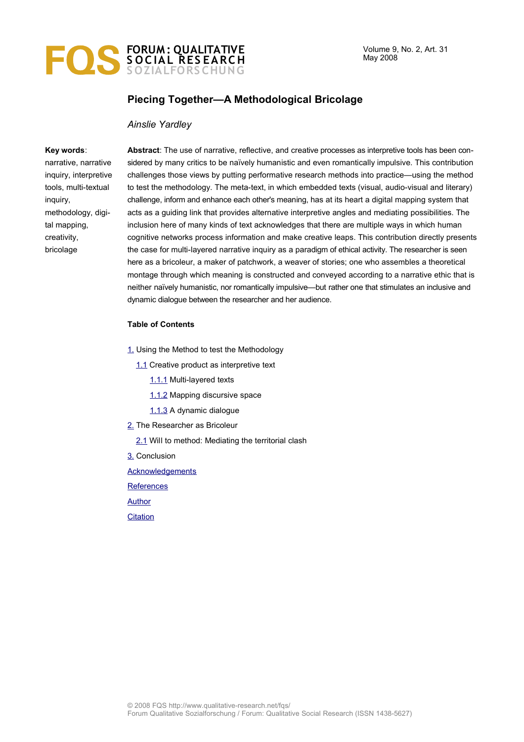

## **Piecing Together—A Methodological Bricolage**

### *Ainslie Yardley*

#### **Key words**:

narrative, narrative inquiry, interpretive tools, multi-textual inquiry, methodology, digital mapping, creativity, bricolage

**Abstract**: The use of narrative, reflective, and creative processes as interpretive tools has been considered by many critics to be naïvely humanistic and even romantically impulsive. This contribution challenges those views by putting performative research methods into practice—using the method to test the methodology. The meta-text, in which embedded texts (visual, audio-visual and literary) challenge, inform and enhance each other's meaning, has at its heart a digital mapping system that acts as a guiding link that provides alternative interpretive angles and mediating possibilities. The inclusion here of many kinds of text acknowledges that there are multiple ways in which human cognitive networks process information and make creative leaps. This contribution directly presents the case for multi-layered narrative inquiry as a paradigm of ethical activity. The researcher is seen here as a bricoleur, a maker of patchwork, a weaver of stories; one who assembles a theoretical montage through which meaning is constructed and conveyed according to a narrative ethic that is neither naïvely humanistic, nor romantically impulsive—but rather one that stimulates an inclusive and dynamic dialogue between the researcher and her audience.

#### **Table of Contents**

- [1.](#page-1-0) Using the Method to test the Methodology
	- [1.1](#page-1-1) Creative product as interpretive text
		- [1.1.1](#page-2-0) Multi-layered texts
		- [1.1.2](#page-4-1) Mapping discursive space
		- [1.1.3](#page-4-0) A dynamic dialogue
- [2.](#page-5-0) The Researcher as Bricoleur
	- [2.1](#page-5-0) Will to method: Mediating the territorial clash
- [3.](#page-7-0) Conclusion

**[Acknowledgements](#page-9-1)** 

**[References](#page-9-0)** 

[Author](#page-10-1)

**[Citation](#page-10-0)**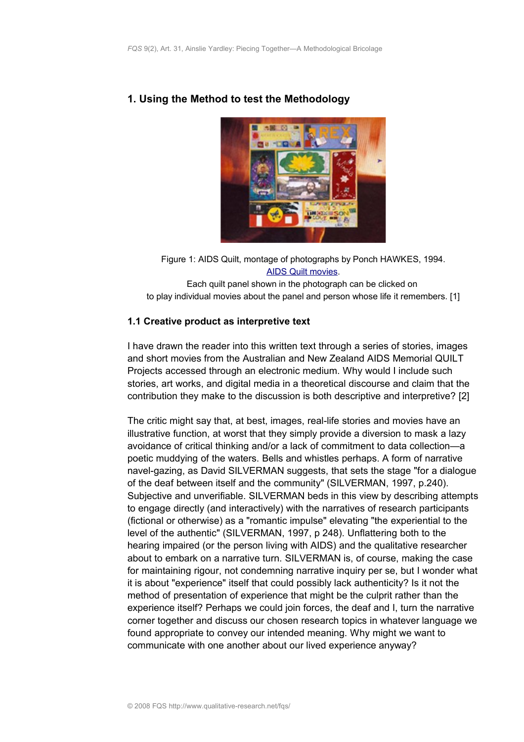

# <span id="page-1-0"></span>**1. Using the Method to test the Methodology**

Figure 1: AIDS Quilt, montage of photographs by Ponch HAWKES, 1994. [AIDS Quilt movies.](http://www.creativitycountry.net.au/creativity/quilt_block.htm)

Each quilt panel shown in the photograph can be clicked on to play individual movies about the panel and person whose life it remembers. [1]

## <span id="page-1-1"></span>**1.1 Creative product as interpretive text**

I have drawn the reader into this written text through a series of stories, images and short movies from the Australian and New Zealand AIDS Memorial QUILT Projects accessed through an electronic medium. Why would I include such stories, art works, and digital media in a theoretical discourse and claim that the contribution they make to the discussion is both descriptive and interpretive? [2]

The critic might say that, at best, images, real-life stories and movies have an illustrative function, at worst that they simply provide a diversion to mask a lazy avoidance of critical thinking and/or a lack of commitment to data collection—a poetic muddying of the waters. Bells and whistles perhaps. A form of narrative navel-gazing, as David SILVERMAN suggests, that sets the stage "for a dialogue of the deaf between itself and the community" (SILVERMAN, 1997, p.240). Subjective and unverifiable. SILVERMAN beds in this view by describing attempts to engage directly (and interactively) with the narratives of research participants (fictional or otherwise) as a "romantic impulse" elevating "the experiential to the level of the authentic" (SILVERMAN, 1997, p 248). Unflattering both to the hearing impaired (or the person living with AIDS) and the qualitative researcher about to embark on a narrative turn. SILVERMAN is, of course, making the case for maintaining rigour, not condemning narrative inquiry per se, but I wonder what it is about "experience" itself that could possibly lack authenticity? Is it not the method of presentation of experience that might be the culprit rather than the experience itself? Perhaps we could join forces, the deaf and I, turn the narrative corner together and discuss our chosen research topics in whatever language we found appropriate to convey our intended meaning. Why might we want to communicate with one another about our lived experience anyway?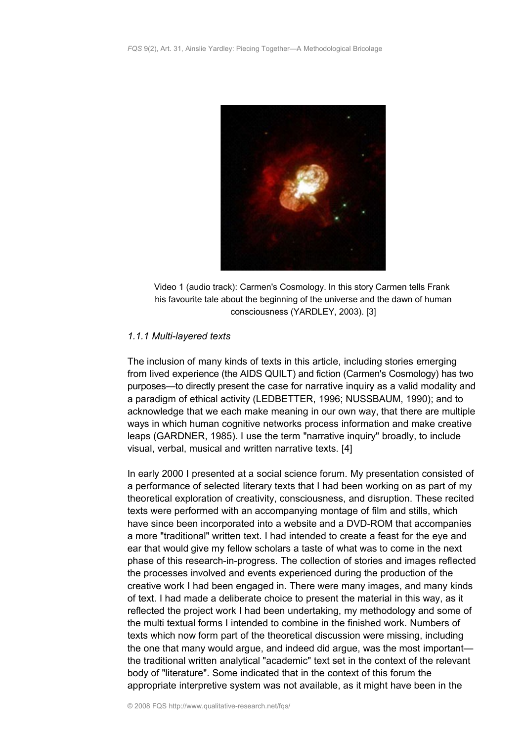

Video 1 (audio track): Carmen's Cosmology. In this story Carmen tells Frank his favourite tale about the beginning of the universe and the dawn of human consciousness (YARDLEY, 2003). [3]

### <span id="page-2-0"></span>*1.1.1 Multi-layered texts*

The inclusion of many kinds of texts in this article, including stories emerging from lived experience (the AIDS QUILT) and fiction (Carmen's Cosmology) has two purposes—to directly present the case for narrative inquiry as a valid modality and a paradigm of ethical activity (LEDBETTER, 1996; NUSSBAUM, 1990); and to acknowledge that we each make meaning in our own way, that there are multiple ways in which human cognitive networks process information and make creative leaps (GARDNER, 1985). I use the term "narrative inquiry" broadly, to include visual, verbal, musical and written narrative texts. [4]

In early 2000 I presented at a social science forum. My presentation consisted of a performance of selected literary texts that I had been working on as part of my theoretical exploration of creativity, consciousness, and disruption. These recited texts were performed with an accompanying montage of film and stills, which have since been incorporated into a website and a DVD-ROM that accompanies a more "traditional" written text. I had intended to create a feast for the eye and ear that would give my fellow scholars a taste of what was to come in the next phase of this research-in-progress. The collection of stories and images reflected the processes involved and events experienced during the production of the creative work I had been engaged in. There were many images, and many kinds of text. I had made a deliberate choice to present the material in this way, as it reflected the project work I had been undertaking, my methodology and some of the multi textual forms I intended to combine in the finished work. Numbers of texts which now form part of the theoretical discussion were missing, including the one that many would argue, and indeed did argue, was the most important the traditional written analytical "academic" text set in the context of the relevant body of "literature". Some indicated that in the context of this forum the appropriate interpretive system was not available, as it might have been in the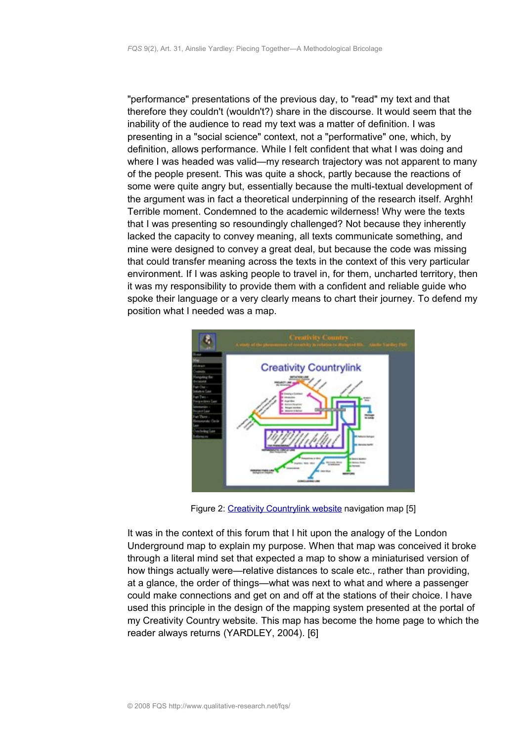"performance" presentations of the previous day, to "read" my text and that therefore they couldn't (wouldn't?) share in the discourse. It would seem that the inability of the audience to read my text was a matter of definition. I was presenting in a "social science" context, not a "performative" one, which, by definition, allows performance. While I felt confident that what I was doing and where I was headed was valid—my research trajectory was not apparent to many of the people present. This was quite a shock, partly because the reactions of some were quite angry but, essentially because the multi-textual development of the argument was in fact a theoretical underpinning of the research itself. Arghh! Terrible moment. Condemned to the academic wilderness! Why were the texts that I was presenting so resoundingly challenged? Not because they inherently lacked the capacity to convey meaning, all texts communicate something, and mine were designed to convey a great deal, but because the code was missing that could transfer meaning across the texts in the context of this very particular environment. If I was asking people to travel in, for them, uncharted territory, then it was my responsibility to provide them with a confident and reliable guide who spoke their language or a very clearly means to chart their journey. To defend my position what I needed was a map.



Figure 2: [Creativity Countrylink website](http://www.creativitycountry.net.au/creativity/creativity_country.htm) navigation map [5]

It was in the context of this forum that I hit upon the analogy of the London Underground map to explain my purpose. When that map was conceived it broke through a literal mind set that expected a map to show a miniaturised version of how things actually were—relative distances to scale etc., rather than providing, at a glance, the order of things—what was next to what and where a passenger could make connections and get on and off at the stations of their choice. I have used this principle in the design of the mapping system presented at the portal of my Creativity Country website. This map has become the home page to which the reader always returns (YARDLEY, 2004). [6]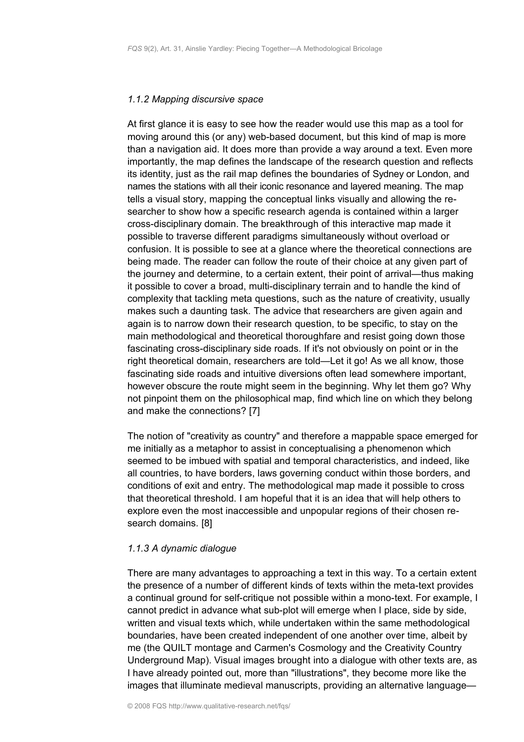### <span id="page-4-1"></span>*1.1.2 Mapping discursive space*

At first glance it is easy to see how the reader would use this map as a tool for moving around this (or any) web-based document, but this kind of map is more than a navigation aid. It does more than provide a way around a text. Even more importantly, the map defines the landscape of the research question and reflects its identity, just as the rail map defines the boundaries of Sydney or London, and names the stations with all their iconic resonance and layered meaning. The map tells a visual story, mapping the conceptual links visually and allowing the researcher to show how a specific research agenda is contained within a larger cross-disciplinary domain. The breakthrough of this interactive map made it possible to traverse different paradigms simultaneously without overload or confusion. It is possible to see at a glance where the theoretical connections are being made. The reader can follow the route of their choice at any given part of the journey and determine, to a certain extent, their point of arrival—thus making it possible to cover a broad, multi-disciplinary terrain and to handle the kind of complexity that tackling meta questions, such as the nature of creativity, usually makes such a daunting task. The advice that researchers are given again and again is to narrow down their research question, to be specific, to stay on the main methodological and theoretical thoroughfare and resist going down those fascinating cross-disciplinary side roads. If it's not obviously on point or in the right theoretical domain, researchers are told—Let it go! As we all know, those fascinating side roads and intuitive diversions often lead somewhere important, however obscure the route might seem in the beginning. Why let them go? Why not pinpoint them on the philosophical map, find which line on which they belong and make the connections? [7]

The notion of "creativity as country" and therefore a mappable space emerged for me initially as a metaphor to assist in conceptualising a phenomenon which seemed to be imbued with spatial and temporal characteristics, and indeed, like all countries, to have borders, laws governing conduct within those borders, and conditions of exit and entry. The methodological map made it possible to cross that theoretical threshold. I am hopeful that it is an idea that will help others to explore even the most inaccessible and unpopular regions of their chosen research domains. [8]

### <span id="page-4-0"></span>*1.1.3 A dynamic dialogue*

There are many advantages to approaching a text in this way. To a certain extent the presence of a number of different kinds of texts within the meta-text provides a continual ground for self-critique not possible within a mono-text. For example, I cannot predict in advance what sub-plot will emerge when I place, side by side, written and visual texts which, while undertaken within the same methodological boundaries, have been created independent of one another over time, albeit by me (the QUILT montage and Carmen's Cosmology and the Creativity Country Underground Map). Visual images brought into a dialogue with other texts are, as I have already pointed out, more than "illustrations", they become more like the images that illuminate medieval manuscripts, providing an alternative language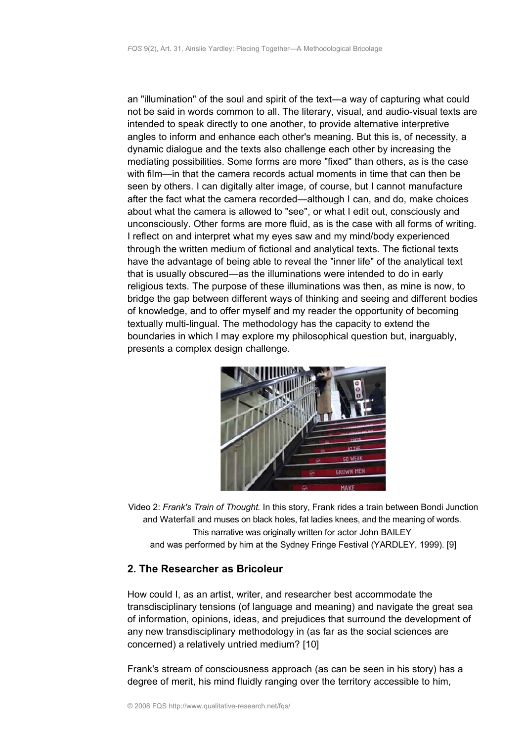an "illumination" of the soul and spirit of the text—a way of capturing what could not be said in words common to all. The literary, visual, and audio-visual texts are intended to speak directly to one another, to provide alternative interpretive angles to inform and enhance each other's meaning. But this is, of necessity, a dynamic dialogue and the texts also challenge each other by increasing the mediating possibilities. Some forms are more "fixed" than others, as is the case with film—in that the camera records actual moments in time that can then be seen by others. I can digitally alter image, of course, but I cannot manufacture after the fact what the camera recorded—although I can, and do, make choices about what the camera is allowed to "see", or what I edit out, consciously and unconsciously. Other forms are more fluid, as is the case with all forms of writing. I reflect on and interpret what my eyes saw and my mind/body experienced through the written medium of fictional and analytical texts. The fictional texts have the advantage of being able to reveal the "inner life" of the analytical text that is usually obscured—as the illuminations were intended to do in early religious texts. The purpose of these illuminations was then, as mine is now, to bridge the gap between different ways of thinking and seeing and different bodies of knowledge, and to offer myself and my reader the opportunity of becoming textually multi-lingual. The methodology has the capacity to extend the boundaries in which I may explore my philosophical question but, inarguably, presents a complex design challenge.



Video 2: *Frank's Train of Thought.* In this story, Frank rides a train between Bondi Junction and Waterfall and muses on black holes, fat ladies knees, and the meaning of words. This narrative was originally written for actor John BAILEY and was performed by him at the Sydney Fringe Festival (YARDLEY, 1999). [9]

## <span id="page-5-0"></span>**2. The Researcher as Bricoleur**

How could I, as an artist, writer, and researcher best accommodate the transdisciplinary tensions (of language and meaning) and navigate the great sea of information, opinions, ideas, and prejudices that surround the development of any new transdisciplinary methodology in (as far as the social sciences are concerned) a relatively untried medium? [10]

Frank's stream of consciousness approach (as can be seen in his story) has a degree of merit, his mind fluidly ranging over the territory accessible to him,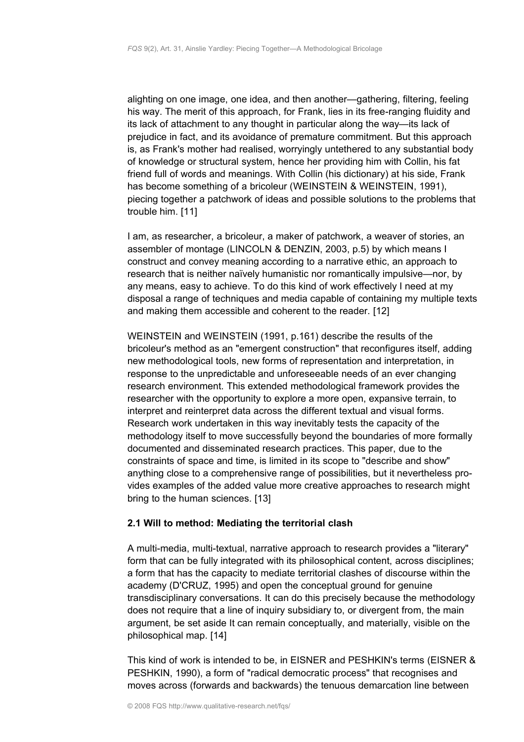alighting on one image, one idea, and then another—gathering, filtering, feeling his way. The merit of this approach, for Frank, lies in its free-ranging fluidity and its lack of attachment to any thought in particular along the way—its lack of prejudice in fact, and its avoidance of premature commitment. But this approach is, as Frank's mother had realised, worryingly untethered to any substantial body of knowledge or structural system, hence her providing him with Collin, his fat friend full of words and meanings. With Collin (his dictionary) at his side, Frank has become something of a bricoleur (WEINSTEIN & WEINSTEIN, 1991), piecing together a patchwork of ideas and possible solutions to the problems that trouble him. [11]

I am, as researcher, a bricoleur, a maker of patchwork, a weaver of stories, an assembler of montage (LINCOLN & DENZIN, 2003, p.5) by which means I construct and convey meaning according to a narrative ethic, an approach to research that is neither naïvely humanistic nor romantically impulsive—nor, by any means, easy to achieve. To do this kind of work effectively I need at my disposal a range of techniques and media capable of containing my multiple texts and making them accessible and coherent to the reader. [12]

WEINSTEIN and WEINSTEIN (1991, p.161) describe the results of the bricoleur's method as an "emergent construction" that reconfigures itself, adding new methodological tools, new forms of representation and interpretation, in response to the unpredictable and unforeseeable needs of an ever changing research environment. This extended methodological framework provides the researcher with the opportunity to explore a more open, expansive terrain, to interpret and reinterpret data across the different textual and visual forms. Research work undertaken in this way inevitably tests the capacity of the methodology itself to move successfully beyond the boundaries of more formally documented and disseminated research practices. This paper, due to the constraints of space and time, is limited in its scope to "describe and show" anything close to a comprehensive range of possibilities, but it nevertheless provides examples of the added value more creative approaches to research might bring to the human sciences. [13]

## **2.1 Will to method: Mediating the territorial clash**

A multi-media, multi-textual, narrative approach to research provides a "literary" form that can be fully integrated with its philosophical content, across disciplines; a form that has the capacity to mediate territorial clashes of discourse within the academy (D'CRUZ, 1995) and open the conceptual ground for genuine transdisciplinary conversations. It can do this precisely because the methodology does not require that a line of inquiry subsidiary to, or divergent from, the main argument, be set aside It can remain conceptually, and materially, visible on the philosophical map. [14]

This kind of work is intended to be, in EISNER and PESHKIN's terms (EISNER & PESHKIN, 1990), a form of "radical democratic process" that recognises and moves across (forwards and backwards) the tenuous demarcation line between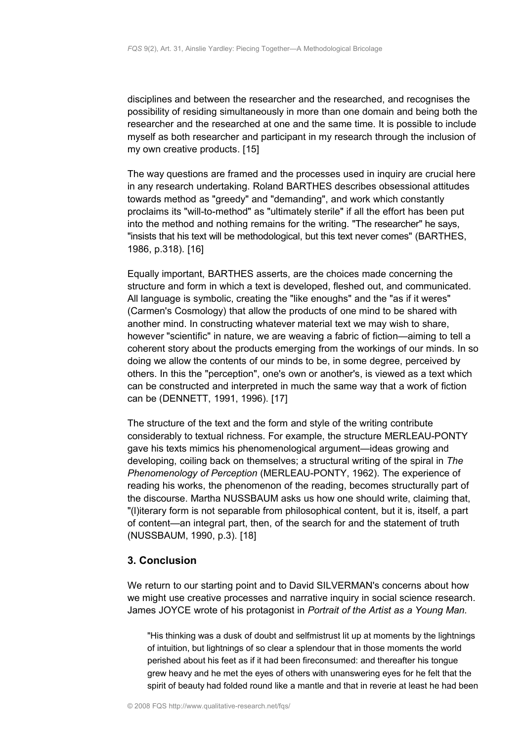disciplines and between the researcher and the researched, and recognises the possibility of residing simultaneously in more than one domain and being both the researcher and the researched at one and the same time. It is possible to include myself as both researcher and participant in my research through the inclusion of my own creative products. [15]

The way questions are framed and the processes used in inquiry are crucial here in any research undertaking. Roland BARTHES describes obsessional attitudes towards method as "greedy" and "demanding", and work which constantly proclaims its "will-to-method" as "ultimately sterile" if all the effort has been put into the method and nothing remains for the writing. "The researcher" he says, "insists that his text will be methodological, but this text never comes" (BARTHES, 1986, p.318). [16]

Equally important, BARTHES asserts, are the choices made concerning the structure and form in which a text is developed, fleshed out, and communicated. All language is symbolic, creating the "like enoughs" and the "as if it weres" (Carmen's Cosmology) that allow the products of one mind to be shared with another mind. In constructing whatever material text we may wish to share, however "scientific" in nature, we are weaving a fabric of fiction—aiming to tell a coherent story about the products emerging from the workings of our minds. In so doing we allow the contents of our minds to be, in some degree, perceived by others. In this the "perception", one's own or another's, is viewed as a text which can be constructed and interpreted in much the same way that a work of fiction can be (DENNETT, 1991, 1996). [17]

The structure of the text and the form and style of the writing contribute considerably to textual richness. For example, the structure MERLEAU-PONTY gave his texts mimics his phenomenological argument—ideas growing and developing, coiling back on themselves; a structural writing of the spiral in *The Phenomenology of Perception* (MERLEAU-PONTY, 1962). The experience of reading his works, the phenomenon of the reading, becomes structurally part of the discourse. Martha NUSSBAUM asks us how one should write, claiming that, "(l)iterary form is not separable from philosophical content, but it is, itself, a part of content—an integral part, then, of the search for and the statement of truth (NUSSBAUM, 1990, p.3). [18]

## <span id="page-7-0"></span>**3. Conclusion**

We return to our starting point and to David SILVERMAN's concerns about how we might use creative processes and narrative inquiry in social science research. James JOYCE wrote of his protagonist in *Portrait of the Artist as a Young Man.*

"His thinking was a dusk of doubt and selfmistrust lit up at moments by the lightnings of intuition, but lightnings of so clear a splendour that in those moments the world perished about his feet as if it had been fireconsumed: and thereafter his tongue grew heavy and he met the eyes of others with unanswering eyes for he felt that the spirit of beauty had folded round like a mantle and that in reverie at least he had been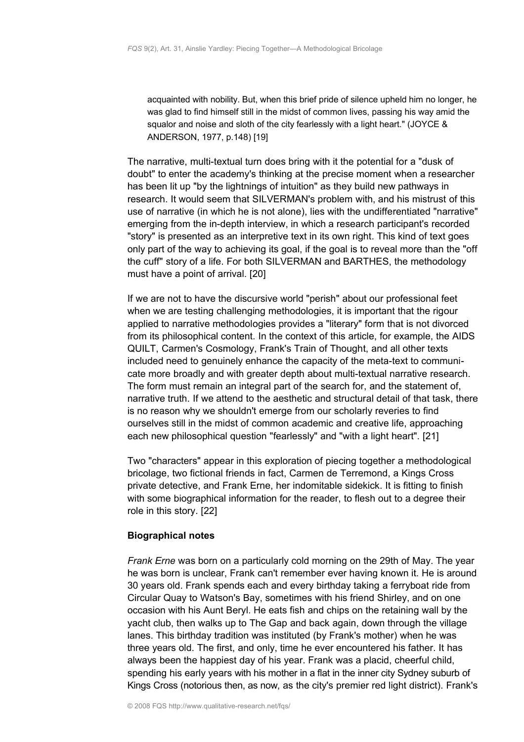acquainted with nobility. But, when this brief pride of silence upheld him no longer, he was glad to find himself still in the midst of common lives, passing his way amid the squalor and noise and sloth of the city fearlessly with a light heart." (JOYCE & ANDERSON, 1977, p.148) [19]

The narrative, multi-textual turn does bring with it the potential for a "dusk of doubt" to enter the academy's thinking at the precise moment when a researcher has been lit up "by the lightnings of intuition" as they build new pathways in research. It would seem that SILVERMAN's problem with, and his mistrust of this use of narrative (in which he is not alone), lies with the undifferentiated "narrative" emerging from the in-depth interview, in which a research participant's recorded "story" is presented as an interpretive text in its own right. This kind of text goes only part of the way to achieving its goal, if the goal is to reveal more than the "off the cuff" story of a life. For both SILVERMAN and BARTHES, the methodology must have a point of arrival. [20]

If we are not to have the discursive world "perish" about our professional feet when we are testing challenging methodologies, it is important that the rigour applied to narrative methodologies provides a "literary" form that is not divorced from its philosophical content. In the context of this article, for example, the AIDS QUILT, Carmen's Cosmology, Frank's Train of Thought, and all other texts included need to genuinely enhance the capacity of the meta-text to communicate more broadly and with greater depth about multi-textual narrative research. The form must remain an integral part of the search for, and the statement of, narrative truth. If we attend to the aesthetic and structural detail of that task, there is no reason why we shouldn't emerge from our scholarly reveries to find ourselves still in the midst of common academic and creative life, approaching each new philosophical question "fearlessly" and "with a light heart". [21]

Two "characters" appear in this exploration of piecing together a methodological bricolage, two fictional friends in fact, Carmen de Terremond, a Kings Cross private detective, and Frank Erne, her indomitable sidekick. It is fitting to finish with some biographical information for the reader, to flesh out to a degree their role in this story. [22]

## **Biographical notes**

*Frank Erne* was born on a particularly cold morning on the 29th of May. The year he was born is unclear, Frank can't remember ever having known it. He is around 30 years old. Frank spends each and every birthday taking a ferryboat ride from Circular Quay to Watson's Bay, sometimes with his friend Shirley, and on one occasion with his Aunt Beryl. He eats fish and chips on the retaining wall by the yacht club, then walks up to The Gap and back again, down through the village lanes. This birthday tradition was instituted (by Frank's mother) when he was three years old. The first, and only, time he ever encountered his father. It has always been the happiest day of his year. Frank was a placid, cheerful child, spending his early years with his mother in a flat in the inner city Sydney suburb of Kings Cross (notorious then, as now, as the city's premier red light district). Frank's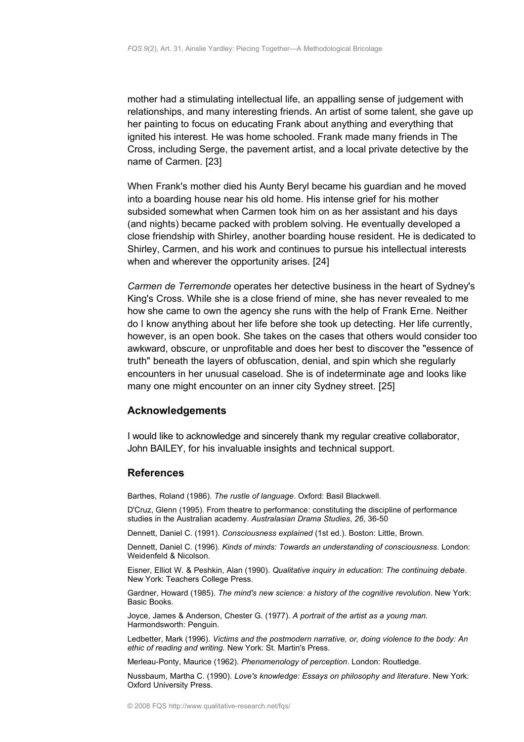mother had a stimulating intellectual life, an appalling sense of judgement with relationships, and many interesting friends. An artist of some talent, she gave up her painting to focus on educating Frank about anything and everything that ignited his interest. He was home schooled. Frank made many friends in The Cross, including Serge, the pavement artist, and a local private detective by the name of Carmen. [23]

When Frank's mother died his Aunty Beryl became his guardian and he moved into a boarding house near his old home. His intense grief for his mother subsided somewhat when Carmen took him on as her assistant and his days (and nights) became packed with problem solving. He eventually developed a close friendship with Shirley, another boarding house resident. He is dedicated to Shirley, Carmen, and his work and continues to pursue his intellectual interests when and wherever the opportunity arises. [24]

*Carmen de Terremonde* operates her detective business in the heart of Sydney's King's Cross. While she is a close friend of mine, she has never revealed to me how she came to own the agency she runs with the help of Frank Erne. Neither do I know anything about her life before she took up detecting. Her life currently, however, is an open book. She takes on the cases that others would consider too awkward, obscure, or unprofitable and does her best to discover the "essence of truth" beneath the layers of obfuscation, denial, and spin which she regularly encounters in her unusual caseload. She is of indeterminate age and looks like many one might encounter on an inner city Sydney street. [25]

### <span id="page-9-1"></span>**Acknowledgements**

I would like to acknowledge and sincerely thank my regular creative collaborator, John BAILEY, for his invaluable insights and technical support.

## <span id="page-9-0"></span>**References**

Barthes, Roland (1986). *The rustle of language*. Oxford: Basil Blackwell.

D'Cruz, Glenn (1995). From theatre to performance: constituting the discipline of performance studies in the Australian academy. *Australasian Drama Studies*, *26*, 36-50

Dennett, Daniel C. (1991). *Consciousness explained* (1st ed.). Boston: Little, Brown.

Dennett, Daniel C. (1996). *Kinds of minds: Towards an understanding of consciousness*. London: Weidenfeld & Nicolson.

Eisner, Elliot W. & Peshkin, Alan (1990). *Qualitative inquiry in education: The continuing debate*. New York: Teachers College Press.

Gardner, Howard (1985). *The mind's new science: a history of the cognitive revolution*. New York: Basic Books.

Joyce, James & Anderson, Chester G. (1977). *A portrait of the artist as a young man.* Harmondsworth: Penguin.

Ledbetter, Mark (1996). *Victims and the postmodern narrative, or, doing violence to the body: An ethic of reading and writing.* New York: St. Martin's Press.

Merleau-Ponty, Maurice (1962). *Phenomenology of perception*. London: Routledge.

Nussbaum, Martha C. (1990). *Love's knowledge: Essays on philosophy and literature*. New York: Oxford University Press.